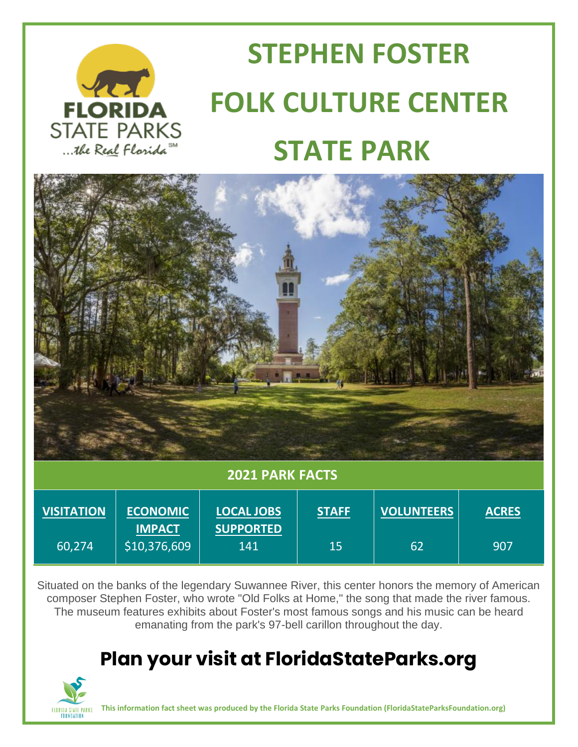

# **STEPHEN FOSTER FLORIDA FOLK CULTURE CENTER**<br>STATE PARKS  **STATE PARK**



#### **2021 PARK FACTS**

| <b>VISITATION</b> | <b>ECONOMIC</b><br><b>IMPACT</b> | <b>LOCAL JOBS</b><br><b>SUPPORTED</b> | <b>STAFF</b> | <b>VOLUNTEERS</b> | <b>ACRES</b> |
|-------------------|----------------------------------|---------------------------------------|--------------|-------------------|--------------|
| 160,274           | \$10,376,609                     | 141                                   | 15           | 62                | '907         |

Situated on the banks of the legendary Suwannee River, this center honors the memory of American composer Stephen Foster, who wrote "Old Folks at Home," the song that made the river famous. The museum features exhibits about Foster's most famous songs and his music can be heard emanating from the park's 97-bell carillon throughout the day.

### **Plan your visit at FloridaStateParks.org**



**This information fact sheet was produced by the Florida State Parks Foundation (FloridaStateParksFoundation.org)**